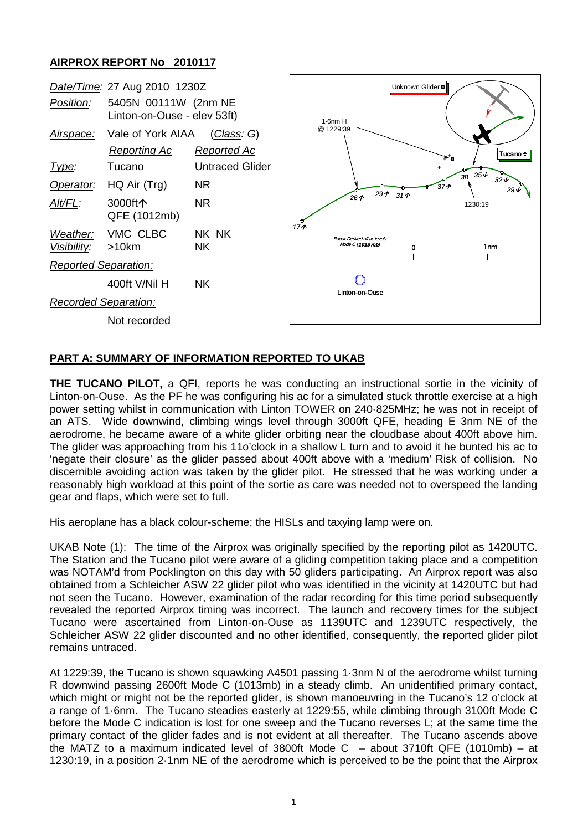## **AIRPROX REPORT No 2010117**



## **PART A: SUMMARY OF INFORMATION REPORTED TO UKAB**

**THE TUCANO PILOT,** a QFI, reports he was conducting an instructional sortie in the vicinity of Linton-on-Ouse. As the PF he was configuring his ac for a simulated stuck throttle exercise at a high power setting whilst in communication with Linton TOWER on 240·825MHz; he was not in receipt of an ATS. Wide downwind, climbing wings level through 3000ft QFE, heading E 3nm NE of the aerodrome, he became aware of a white glider orbiting near the cloudbase about 400ft above him. The glider was approaching from his 11o'clock in a shallow L turn and to avoid it he bunted his ac to 'negate their closure' as the glider passed about 400ft above with a 'medium' Risk of collision. No discernible avoiding action was taken by the glider pilot. He stressed that he was working under a reasonably high workload at this point of the sortie as care was needed not to overspeed the landing gear and flaps, which were set to full.

His aeroplane has a black colour-scheme; the HISLs and taxying lamp were on.

UKAB Note (1): The time of the Airprox was originally specified by the reporting pilot as 1420UTC. The Station and the Tucano pilot were aware of a gliding competition taking place and a competition was NOTAM'd from Pocklington on this day with 50 gliders participating. An Airprox report was also obtained from a Schleicher ASW 22 glider pilot who was identified in the vicinity at 1420UTC but had not seen the Tucano. However, examination of the radar recording for this time period subsequently revealed the reported Airprox timing was incorrect. The launch and recovery times for the subject Tucano were ascertained from Linton-on-Ouse as 1139UTC and 1239UTC respectively, the Schleicher ASW 22 glider discounted and no other identified, consequently, the reported glider pilot remains untraced.

At 1229:39, the Tucano is shown squawking A4501 passing 1·3nm N of the aerodrome whilst turning R downwind passing 2600ft Mode C (1013mb) in a steady climb. An unidentified primary contact, which might or might not be the reported glider, is shown manoeuvring in the Tucano's 12 o'clock at a range of 1·6nm. The Tucano steadies easterly at 1229:55, while climbing through 3100ft Mode C before the Mode C indication is lost for one sweep and the Tucano reverses L; at the same time the primary contact of the glider fades and is not evident at all thereafter. The Tucano ascends above the MATZ to a maximum indicated level of 3800ft Mode C  $-$  about 3710ft QFE (1010mb)  $-$  at 1230:19, in a position 2·1nm NE of the aerodrome which is perceived to be the point that the Airprox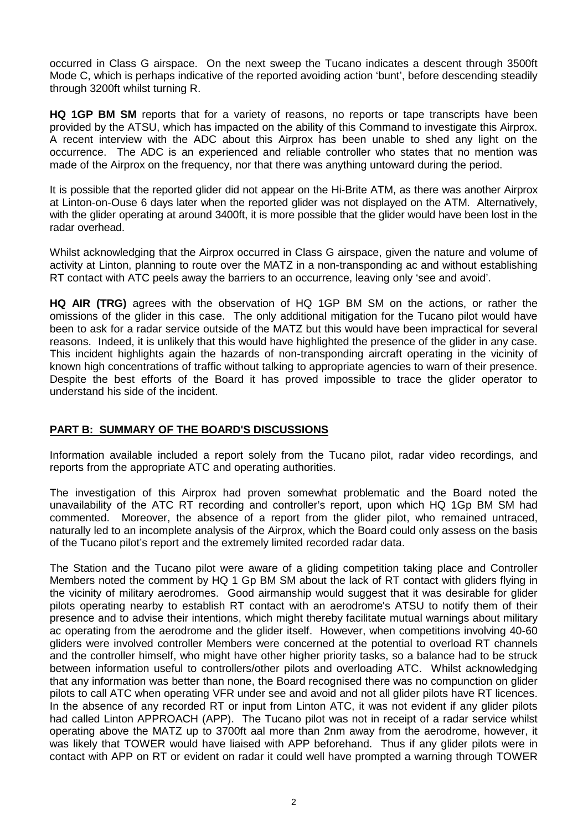occurred in Class G airspace. On the next sweep the Tucano indicates a descent through 3500ft Mode C, which is perhaps indicative of the reported avoiding action 'bunt', before descending steadily through 3200ft whilst turning R.

**HQ 1GP BM SM** reports that for a variety of reasons, no reports or tape transcripts have been provided by the ATSU, which has impacted on the ability of this Command to investigate this Airprox. A recent interview with the ADC about this Airprox has been unable to shed any light on the occurrence. The ADC is an experienced and reliable controller who states that no mention was made of the Airprox on the frequency, nor that there was anything untoward during the period.

It is possible that the reported glider did not appear on the Hi-Brite ATM, as there was another Airprox at Linton-on-Ouse 6 days later when the reported glider was not displayed on the ATM. Alternatively, with the glider operating at around 3400ft, it is more possible that the glider would have been lost in the radar overhead.

Whilst acknowledging that the Airprox occurred in Class G airspace, given the nature and volume of activity at Linton, planning to route over the MATZ in a non-transponding ac and without establishing RT contact with ATC peels away the barriers to an occurrence, leaving only 'see and avoid'.

**HQ AIR (TRG)** agrees with the observation of HQ 1GP BM SM on the actions, or rather the omissions of the glider in this case. The only additional mitigation for the Tucano pilot would have been to ask for a radar service outside of the MATZ but this would have been impractical for several reasons. Indeed, it is unlikely that this would have highlighted the presence of the glider in any case. This incident highlights again the hazards of non-transponding aircraft operating in the vicinity of known high concentrations of traffic without talking to appropriate agencies to warn of their presence. Despite the best efforts of the Board it has proved impossible to trace the glider operator to understand his side of the incident.

## **PART B: SUMMARY OF THE BOARD'S DISCUSSIONS**

Information available included a report solely from the Tucano pilot, radar video recordings, and reports from the appropriate ATC and operating authorities.

The investigation of this Airprox had proven somewhat problematic and the Board noted the unavailability of the ATC RT recording and controller's report, upon which HQ 1Gp BM SM had commented. Moreover, the absence of a report from the glider pilot, who remained untraced, naturally led to an incomplete analysis of the Airprox, which the Board could only assess on the basis of the Tucano pilot's report and the extremely limited recorded radar data.

The Station and the Tucano pilot were aware of a gliding competition taking place and Controller Members noted the comment by HQ 1 Gp BM SM about the lack of RT contact with gliders flying in the vicinity of military aerodromes. Good airmanship would suggest that it was desirable for glider pilots operating nearby to establish RT contact with an aerodrome's ATSU to notify them of their presence and to advise their intentions, which might thereby facilitate mutual warnings about military ac operating from the aerodrome and the glider itself. However, when competitions involving 40-60 gliders were involved controller Members were concerned at the potential to overload RT channels and the controller himself, who might have other higher priority tasks, so a balance had to be struck between information useful to controllers/other pilots and overloading ATC. Whilst acknowledging that any information was better than none, the Board recognised there was no compunction on glider pilots to call ATC when operating VFR under see and avoid and not all glider pilots have RT licences. In the absence of any recorded RT or input from Linton ATC, it was not evident if any glider pilots had called Linton APPROACH (APP). The Tucano pilot was not in receipt of a radar service whilst operating above the MATZ up to 3700ft aal more than 2nm away from the aerodrome, however, it was likely that TOWER would have liaised with APP beforehand. Thus if any glider pilots were in contact with APP on RT or evident on radar it could well have prompted a warning through TOWER